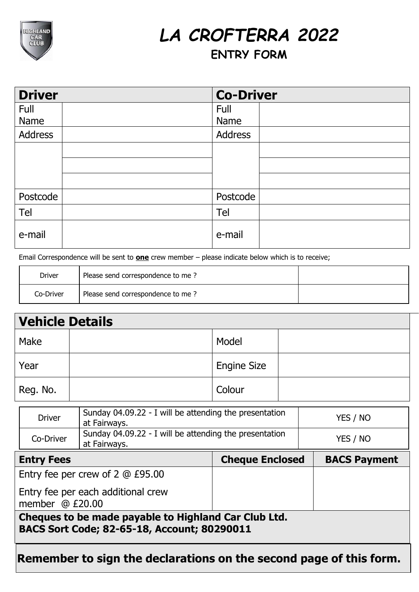

## *LA CROFTERRA 2022*

## **ENTRY FORM**

| <b>Driver</b>  | <b>Co-Driver</b> |
|----------------|------------------|
| Full           | Full             |
| Name           | Name             |
| <b>Address</b> | Address          |
|                |                  |
|                |                  |
|                |                  |
| Postcode       | Postcode         |
| Tel            | Tel              |
| e-mail         | e-mail           |

Email Correspondence will be sent to **one** crew member – please indicate below which is to receive;

| Driver    | Please send correspondence to me? |  |
|-----------|-----------------------------------|--|
| Co-Driver | Please send correspondence to me? |  |

| <b>Vehicle Details</b> |                    |  |
|------------------------|--------------------|--|
| Make                   | Model              |  |
| Year                   | <b>Engine Size</b> |  |
| Reg. No.               | Colour             |  |

| <b>Driver</b> | Sunday 04.09.22 - I will be attending the presentation<br>at Fairways. | YES / NO |
|---------------|------------------------------------------------------------------------|----------|
| Co-Driver     | Sunday 04.09.22 - I will be attending the presentation<br>at Fairways. | YES / NO |

| <b>Entry Fees</b>                                                                                   | <b>Cheque Enclosed</b> | <b>BACS Payment</b> |
|-----------------------------------------------------------------------------------------------------|------------------------|---------------------|
| Entry fee per crew of 2 @ £95.00                                                                    |                        |                     |
| Entry fee per each additional crew<br>member $@E20.00$                                              |                        |                     |
| Cheques to be made payable to Highland Car Club Ltd.<br>BACS Sort Code; 82-65-18, Account; 80290011 |                        |                     |
|                                                                                                     |                        |                     |

**Remember to sign the declarations on the second page of this form.**